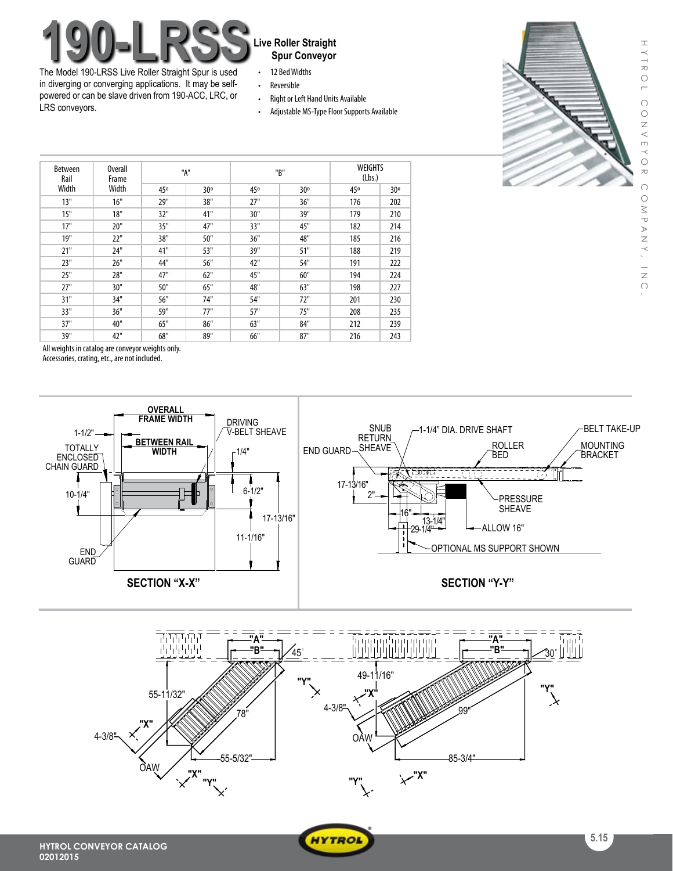# **190-LRSS** Live Roller Straight<br>The Model 190 LBSS Live Reller Straight<br>The Model 190 LBSS Live Reller Straight<br>Results Reller Straight<br>Results Reller Straight

The Model 190-LRSS Live Roller Straight Spur is used in diverging or converging applications. It may be selfpowered or can be slave driven from 190-ACC, LRC, or LRS conveyors.

## **Spur Conveyor**

- • 12 BedWidths
- • Reversible
- Right or Left Hand Units Available
- Adjustable MS-Type Floor Supports Available



| <b>Between</b><br>Rail<br>Width | Overall<br>Frame<br>Width | "A" |     | "B" |     | <b>WEIGHTS</b><br>(Lbs.) |     |
|---------------------------------|---------------------------|-----|-----|-----|-----|--------------------------|-----|
|                                 |                           | 45° | 30° | 45° | 30° | 45°                      | 30° |
| 13"                             | 16"                       | 29" | 38" | 27" | 36" | 176                      | 202 |
| 15"                             | 18"                       | 32" | 41" | 30" | 39" | 179                      | 210 |
| 17"                             | 20"                       | 35" | 47" | 33" | 45" | 182                      | 214 |
| 19"                             | 22"                       | 38" | 50" | 36" | 48" | 185                      | 216 |
| 21"                             | 24"                       | 41" | 53" | 39" | 51" | 188                      | 219 |
| 23"                             | 26"                       | 44" | 56" | 42" | 54" | 191                      | 222 |
| 25"                             | 28"                       | 47" | 62" | 45" | 60" | 194                      | 224 |
| 27"                             | 30"                       | 50" | 65" | 48" | 63" | 198                      | 227 |
| 31"                             | 34"                       | 56" | 74" | 54" | 72" | 201                      | 230 |
| 33"                             | 36"                       | 59" | 77" | 57" | 75" | 208                      | 235 |
| 37"                             | 40"                       | 65" | 86" | 63" | 84" | 212                      | 239 |
| 39"                             | 42"                       | 68" | 89" | 66" | 87" | 216                      | 243 |

All weights in catalog are conveyor weights only.

Accessories, crating, etc., are not included.